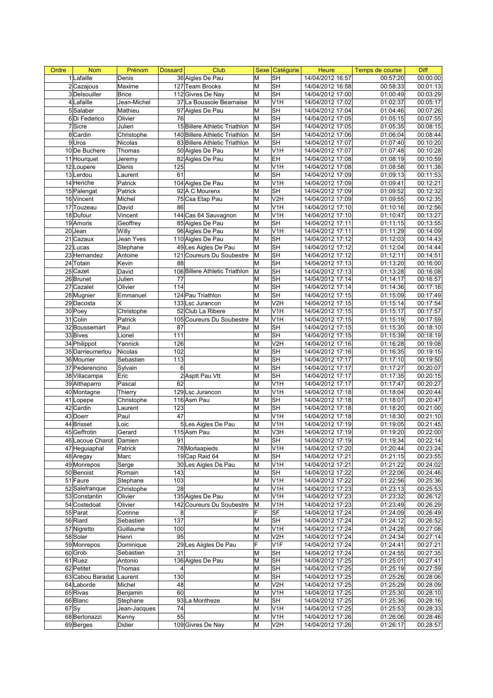| Ordre     | <b>Nom</b>              | Prénom       | <b>Dossard</b>  | Club                           | <b>Sexe</b> | Catégorie                | <b>Heure</b>     | Temps de course | <b>Diff</b> |
|-----------|-------------------------|--------------|-----------------|--------------------------------|-------------|--------------------------|------------------|-----------------|-------------|
|           | 1 Lafaille              | Denis        |                 | 36 Aigles De Pau               | M           | <b>SH</b>                | 14/04/2012 16:57 | 00:57:20        | 00:00:00    |
|           | 2 Cazajous              | Maxime       |                 | 127 Team Brooks                | M           | <b>SH</b>                | 14/04/2012 16:58 | 00:58:33        | 00:01:13    |
|           | 3Delsouiller            | <b>Brice</b> |                 | 112 Givres De Nay              | M           | <b>SH</b>                | 14/04/2012 17:00 | 01:00:49        | 00:03:29    |
|           | 4 Lafaille              | Jean-Michel  |                 | 37 La Boussole Bearnaise       | M           | V <sub>1</sub> H         | 14/04/2012 17:02 | 01:02:37        | 00:05:17    |
|           | 5 Salaber               | Mathieu      |                 | 97 Aigles De Pau               | M           | <b>SH</b>                | 14/04/2012 17:04 | 01:04:46        | 00:07:26    |
|           | 6Di Federico            | Olivier      | 76              |                                | M           | <b>SH</b>                | 14/04/2012 17:05 | 01:05:15        | 00:07:55    |
|           | 7Sicre                  | Julien       |                 | 15 Billere Athletic Triathlon  | M           | <b>SH</b>                | 14/04/2012 17:05 | 01:05:35        | 00:08:15    |
|           | 8 Cardin                | Christophe   |                 | 140 Billere Athletic Triathlon | M           | <b>SH</b>                | 14/04/2012 17:06 | 01:06:04        | 00:08:44    |
|           | 9Uros                   | Nicolas      |                 | 83 Billere Athletic Triathlon  | M           | <b>SH</b>                | 14/04/2012 17:07 | 01:07:40        | 00:10:20    |
|           | 10 De Buchere           | Thomas       |                 | 50 Aigles De Pau               | M           | V <sub>1</sub> H         | 14/04/2012 17:07 | 01:07:48        | 00:10:28    |
|           | 11 Hourquet             | Jeremy       |                 | 82 Aigles De Pau               | M           | EH                       | 14/04/2012 17:08 | 01:08:19        | 00:10:59    |
|           | 12Loupere               | Denis        | 125             |                                | M           | V <sub>1</sub> H         | 14/04/2012 17:08 | 01:08:58        | 00:11:38    |
|           | 13 Lerdou               | Laurent      | 61              |                                | M           | <b>SH</b>                | 14/04/2012 17:09 | 01:09:13        | 00:11:53    |
|           | 14 Henche               | Patrick      |                 | 104 Aigles De Pau              | M           | V <sub>1</sub> H         | 14/04/2012 17:09 | 01:09:41        | 00:12:21    |
|           | 15 Palengat             | Patrick      |                 | 92 A C Mourenx                 | M           | SH                       | 14/04/2012 17:09 | 01:09:52        | 00:12:32    |
|           | 16 Vincent              | Michel       |                 | 75 Csa Etap Pau                | M           | V <sub>2</sub> H         | 14/04/2012 17:09 | 01:09:55        | 00:12:35    |
|           | 17 Touzeau              | David        | 86              |                                | M           | V <sub>1</sub> H         | 14/04/2012 17:10 | 01:10:16        | 00:12:56    |
|           | 18 Dufour               | Vincent      |                 | 144 Cas 64 Sauvagnon           | M           | V <sub>1</sub> H         |                  |                 | 00:13:27    |
|           |                         |              |                 |                                | M           | <b>SH</b>                | 14/04/2012 17:10 | 01:10:47        |             |
|           | 19 Amoris               | Geoffrey     |                 | 85 Aigles De Pau               |             |                          | 14/04/2012 17:11 | 01:11:15        | 00:13:55    |
|           | 20Jean                  | Willy        |                 | 96 Aigles De Pau               | M           | V <sub>1</sub> H         | 14/04/2012 17:11 | 01:11:29        | 00:14:09    |
|           | 21 Cazaux               | Jean Yves    |                 | 110 Aigles De Pau              | M           | <b>SH</b>                | 14/04/2012 17:12 | 01:12:03        | 00:14:43    |
|           | $22$ Lucas              | Stephane     |                 | 49 Les Aigles De Pau           | M           | <b>SH</b>                | 14/04/2012 17:12 | 01:12:04        | 00:14:44    |
|           | 23 Hernandez            | Antoine      |                 | 121 Coureurs Du Soubestre      | M           | <b>SH</b>                | 14/04/2012 17:12 | 01:12:11        | 00:14:51    |
|           | 24 Totain               | Kevin        | 88              |                                | M           | <b>SH</b>                | 14/04/2012 17:13 | 01:13:20        | 00:16:00    |
|           | $25$ Cazet              | David        |                 | 106 Billere Athletic Triathlon | M           | <b>SH</b>                | 14/04/2012 17:13 | 01:13:28        | 00:16:08    |
|           | 26 Brunet               | Julien       | 77              |                                | M           | SH                       | 14/04/2012 17:14 | 01:14:17        | 00:16:57    |
|           | 27 Cazalet              | Olivier      | 114             |                                | M           | <b>SH</b>                | 14/04/2012 17:14 | 01:14:36        | 00:17:16    |
|           | 28 Mugnier              | Emmanuel     |                 | 124 Pau Triathlon              | M           | <b>SH</b>                | 14/04/2012 17:15 | 01:15:09        | 00:17:49    |
|           | 29 Dacosta              | X            |                 | 133 Lsc Jurancon               | M           | V <sub>2</sub> H         | 14/04/2012 17:15 | 01:15:14        | 00:17:54    |
|           | 30 Poey                 | Christophe   |                 | 52 Club La Ribere              | M           | V <sub>1</sub> H         | 14/04/2012 17:15 | 01:15:17        | 00:17:57    |
|           | 31 Colin                | Patrick      |                 | 105 Coureurs Du Soubestre      | M           | V <sub>1</sub> H         | 14/04/2012 17:15 | 01:15:19        | 00:17:59    |
|           | 32 Boussemart           | Paul         | 87              |                                | M           | $\overline{\mathsf{SH}}$ | 14/04/2012 17:15 | 01:15:30        | 00:18:10    |
|           | 33 Bives                | Lionel       | 111             |                                | M           | <b>SH</b>                | 14/04/2012 17:15 | 01:15:39        | 00:18:19    |
|           | 34 Philippot            | Yannick      | 126             |                                | M           | V <sub>2</sub> H         | 14/04/2012 17:16 | 01:16:28        | 00:19:08    |
|           | 35 Darrieumerlou        | Nicolas      | 102             |                                | M           | <b>SH</b>                | 14/04/2012 17:16 | 01:16:35        | 00:19:15    |
|           | 36 Mounier              | Sebastien    | 113             |                                | M           | <b>SH</b>                | 14/04/2012 17:17 | 01:17:10        | 00:19:50    |
|           | 37 Pederencino          | Sylvain      | 6               |                                | M           | <b>SH</b>                | 14/04/2012 17:17 | 01:17:27        | 00:20:07    |
|           | 38 Villacampa           | Eric         |                 | 2 Asptt Pau Vtt                | M           | <b>SH</b>                | 14/04/2012 17:17 | 01:17:35        | 00:20:15    |
|           | 39 Althaparro           | Pascal       | 62              |                                | M           | V <sub>1</sub> H         | 14/04/2012 17:17 | 01:17:47        | 00:20:27    |
|           | 40 Montagne             | Thierry      |                 | 129 Lsc Jurancon               | M           | V <sub>1</sub> H         | 14/04/2012 17:18 | 01:18:04        | 00:20:44    |
|           | 41 Lopepe               | Christophe   |                 | 116 Asm Pau                    | M           | <b>SH</b>                | 14/04/2012 17:18 | 01:18:07        | 00:20:47    |
|           | 42 Cardin               | Laurent      | 123             |                                | M           | <b>SH</b>                | 14/04/2012 17:18 | 01:18:20        | 00:21:00    |
|           | 43 Doerr                | Paul         | $\overline{47}$ |                                | M           | V <sub>1</sub> H         | 14/04/2012 17:18 | 01:18:30        | 00:21:10    |
|           | 44 Brisset              | Loic         |                 | 5 Les Aigles De Pau            | M           | V <sub>1</sub> H         | 14/04/2012 17:19 | 01:19:05        | 00:21:45    |
|           | 45 Geffrotin            | Gerard       |                 | 115 Asm Pau                    | M           | V3H                      |                  | 01:19:20        | 00:22:00    |
|           |                         |              |                 |                                |             |                          | 14/04/2012 17:19 |                 |             |
|           | 46 Lacoue Charot Damien |              | 91              |                                | M           | SН                       | 14/04/2012 17:19 | 01:19:34        | 00:22:14    |
|           | 47 Heguiaphal           | Patrick      |                 | 78 Morlaapieds                 | M           | V <sub>1</sub> H         | 14/04/2012 17:20 | 01:20:44        | 00:23:24    |
|           | 48 Aregay               | Marc         |                 | 19 Cap Raid 64                 | M           | <b>SH</b>                | 14/04/2012 17:21 | 01:21:15        | 00:23:55    |
|           | 49 Monrepos             | Serge        |                 | 30 Les Aigles De Pau           | M           | V <sub>1</sub> H         | 14/04/2012 17:21 | 01:21:22        | 00:24:02    |
|           | 50 Benoist              | Romain       | 143             |                                | M           | <b>SH</b>                | 14/04/2012 17:22 | 01:22:06        | 00:24:46    |
|           | 51 Faure                | Stephane     | 103             |                                | M           | V <sub>1</sub> H         | 14/04/2012 17:22 | 01:22:56        | 00:25:36    |
|           | 52 Salefranque          | Christophe   | 28              |                                | M           | V <sub>1</sub> H         | 14/04/2012 17:23 | 01:23:13        | 00:25:53    |
|           | 53 Constantin           | Olivier      |                 | 135 Aigles De Pau              | M           | V <sub>1</sub> H         | 14/04/2012 17:23 | 01:23:32        | 00:26:12    |
|           | 54 Costedoat            | Olivier      |                 | 142 Coureurs Du Soubestre      | M           | V <sub>1</sub> H         | 14/04/2012 17:23 | 01:23:49        | 00:26:29    |
|           | 55 Parat                | Corinne      | 8               |                                | F           | SF                       | 14/04/2012 17:24 | 01:24:09        | 00:26:49    |
|           | 56 Riard                | Sebastien    | 137             |                                | M           | <b>SH</b>                | 14/04/2012 17:24 | 01:24:12        | 00:26:52    |
|           | 57 Nigretto             | Guillaume    | 100             |                                | M           | V <sub>1</sub> H         | 14/04/2012 17:24 | 01:24:28        | 00:27:08    |
|           | 58 Soler                | Henri        | 95              |                                | M           | V2H                      | 14/04/2012 17:24 | 01:24:34        | 00:27:14    |
|           | 59 Monrepos             | Dominique    |                 | 29 Les Aiigles De Pau          | lF          | V <sub>1F</sub>          | 14/04/2012 17:24 | 01:24:41        | 00:27:21    |
|           | 60 Grob                 | Sebastien    | 31              |                                | M           | <b>SH</b>                | 14/04/2012 17:24 | 01:24:55        | 00:27:35    |
|           | 61Ruez                  | Antonio      |                 | 136 Aigles De Pau              | M           | <b>SH</b>                | 14/04/2012 17:25 | 01:25:01        | 00:27:41    |
|           | 62 Petitet              | Thomas       | 4               |                                | M           | <b>SH</b>                | 14/04/2012 17:25 | 01:25:19        | 00:27:59    |
|           | 63 Cabou Baradat        | Laurent      | 130             |                                | M           | <b>SH</b>                | 14/04/2012 17:25 | 01:25:26        | 00:28:06    |
|           | 64 Laborde              | Michel       | 48              |                                | M           | V <sub>2</sub> H         | 14/04/2012 17:25 | 01:25:29        | 00:28:09    |
|           | 65 Rivas                | Benjamin     | 60              |                                | M           | V <sub>1</sub> H         | 14/04/2012 17:25 | 01:25:30        | 00:28:10    |
|           | 66 Blanc                | Stephane     |                 | 93 La Montheze                 | M           | <b>SH</b>                | 14/04/2012 17:25 | 01:25:36        | 00:28:16    |
| $67$ $Sy$ |                         | Jean-Jacques | 74              |                                | M           | V <sub>1</sub> H         | 14/04/2012 17:25 | 01:25:53        | 00:28:33    |
|           | 68 Bertonazzi           | Kenny        | 55              |                                | M           | $\overline{V1H}$         | 14/04/2012 17:26 | 01:26:06        | 00:28:46    |
|           | 69 Berges               | Didier       |                 | 109 Givres De Nay              | M           | V <sub>2</sub> H         | 14/04/2012 17:26 | 01:26:17        | 00:28:57    |
|           |                         |              |                 |                                |             |                          |                  |                 |             |